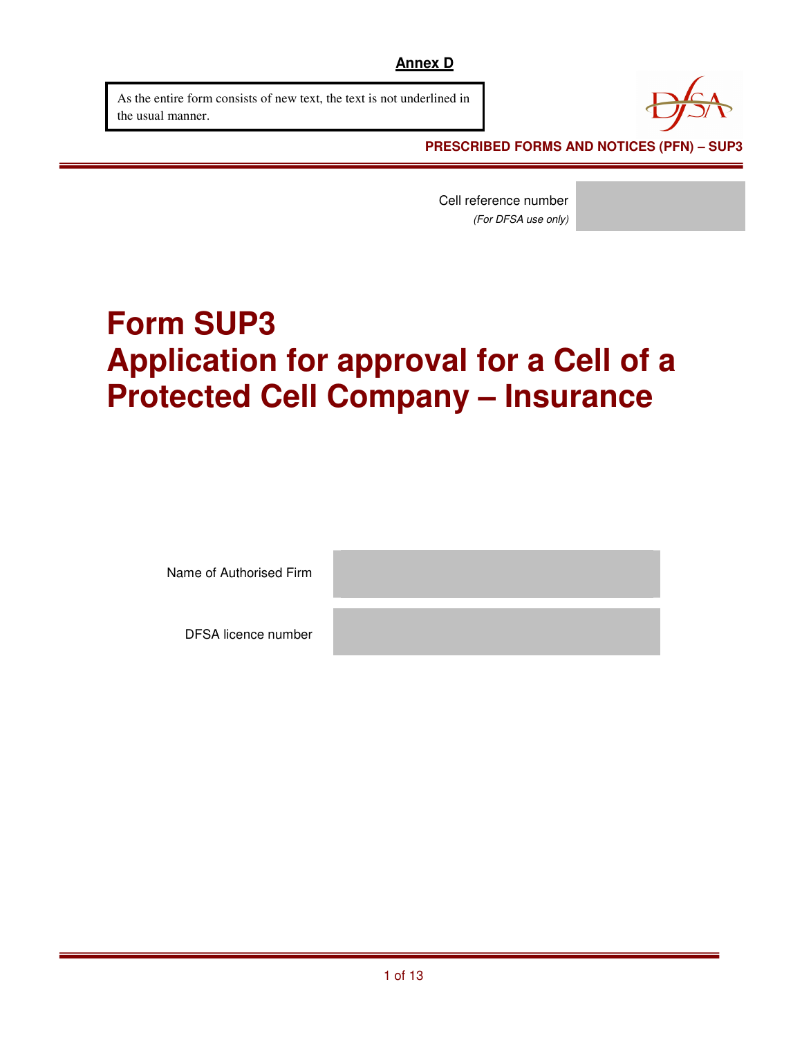As the entire form consists of new text, the text is not underlined in the usual manner.



 **PRESCRIBED FORMS AND NOTICES (PFN) – SUP3** 

Cell reference number (For DFSA use only)

# **Form SUP3 Application for approval for a Cell of a Protected Cell Company – Insurance**

Name of Authorised Firm

DFSA licence number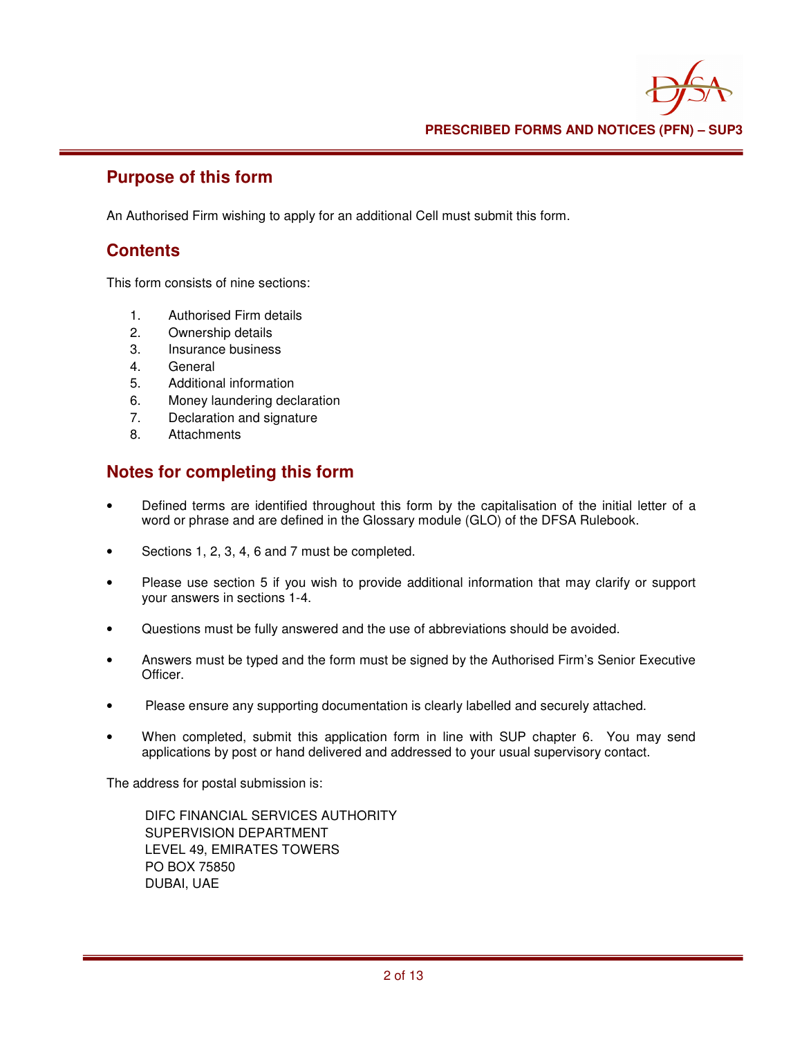#### **Purpose of this form**

An Authorised Firm wishing to apply for an additional Cell must submit this form.

#### **Contents**

This form consists of nine sections:

- 1. Authorised Firm details
- 2. Ownership details
- 3. Insurance business
- 4. General
- 5. Additional information
- 6. Money laundering declaration
- 7. Declaration and signature
- 8. Attachments

### **Notes for completing this form**

- Defined terms are identified throughout this form by the capitalisation of the initial letter of a word or phrase and are defined in the Glossary module (GLO) of the DFSA Rulebook.
- Sections 1, 2, 3, 4, 6 and 7 must be completed.
- Please use section 5 if you wish to provide additional information that may clarify or support your answers in sections 1-4.
- Questions must be fully answered and the use of abbreviations should be avoided.
- Answers must be typed and the form must be signed by the Authorised Firm's Senior Executive Officer.
- Please ensure any supporting documentation is clearly labelled and securely attached.
- When completed, submit this application form in line with SUP chapter 6. You may send applications by post or hand delivered and addressed to your usual supervisory contact.

The address for postal submission is:

 DIFC FINANCIAL SERVICES AUTHORITY SUPERVISION DEPARTMENT LEVEL 49, EMIRATES TOWERS PO BOX 75850 DUBAI, UAE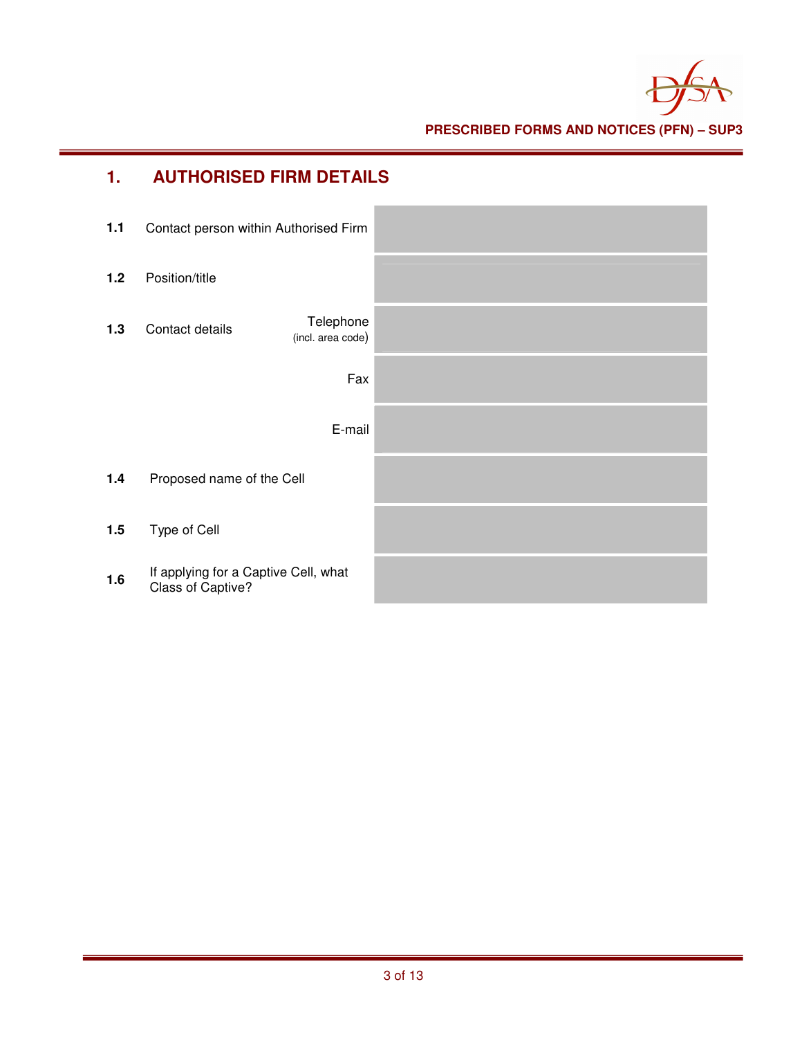

**PRESCRIBED FORMS AND NOTICES (PFN) – SUP3** 

| 1.    | <b>AUTHORISED FIRM DETAILS</b>                            |  |
|-------|-----------------------------------------------------------|--|
| $1.1$ | Contact person within Authorised Firm                     |  |
| 1.2   | Position/title                                            |  |
| 1.3   | Telephone<br>Contact details<br>(incl. area code)         |  |
|       | Fax                                                       |  |
|       | E-mail                                                    |  |
| 1.4   | Proposed name of the Cell                                 |  |
| 1.5   | Type of Cell                                              |  |
| 1.6   | If applying for a Captive Cell, what<br>Class of Captive? |  |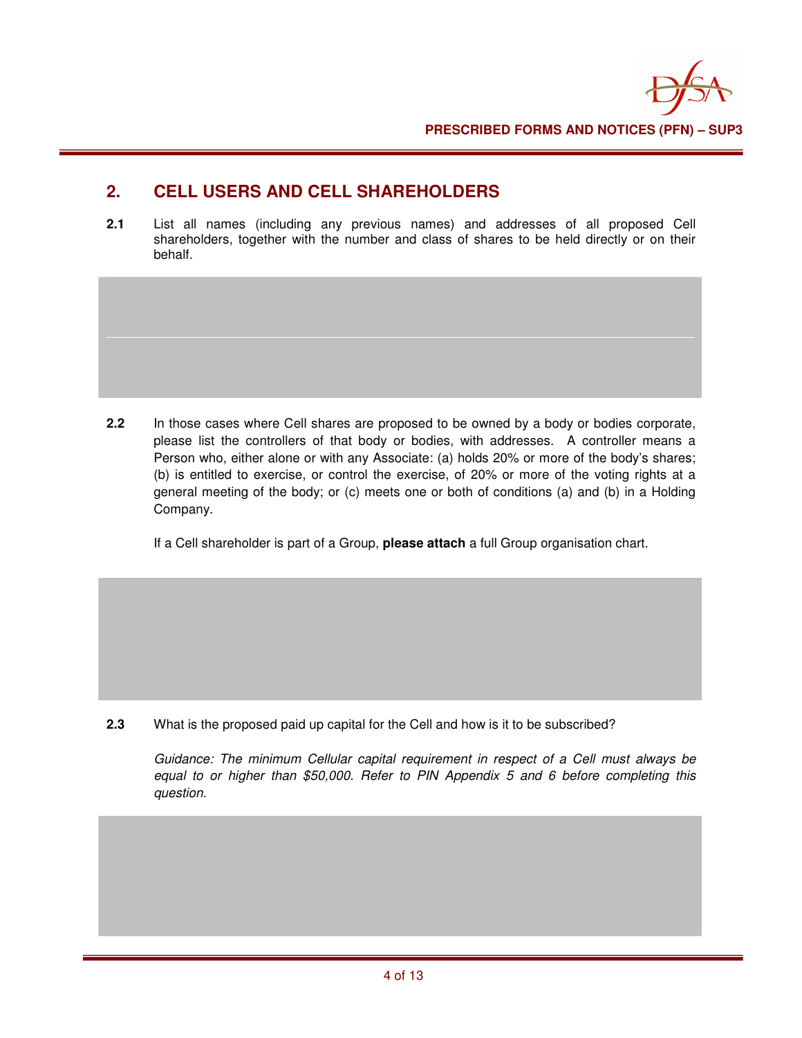# **2. CELL USERS AND CELL SHAREHOLDERS**

**2.1** List all names (including any previous names) and addresses of all proposed Cell shareholders, together with the number and class of shares to be held directly or on their behalf.

**2.2** In those cases where Cell shares are proposed to be owned by a body or bodies corporate, please list the controllers of that body or bodies, with addresses. A controller means a Person who, either alone or with any Associate: (a) holds 20% or more of the body's shares; (b) is entitled to exercise, or control the exercise, of 20% or more of the voting rights at a general meeting of the body; or (c) meets one or both of conditions (a) and (b) in a Holding Company.

If a Cell shareholder is part of a Group, **please attach** a full Group organisation chart.

**2.3** What is the proposed paid up capital for the Cell and how is it to be subscribed?

Guidance: The minimum Cellular capital requirement in respect of a Cell must always be equal to or higher than \$50,000. Refer to PIN Appendix 5 and 6 before completing this question.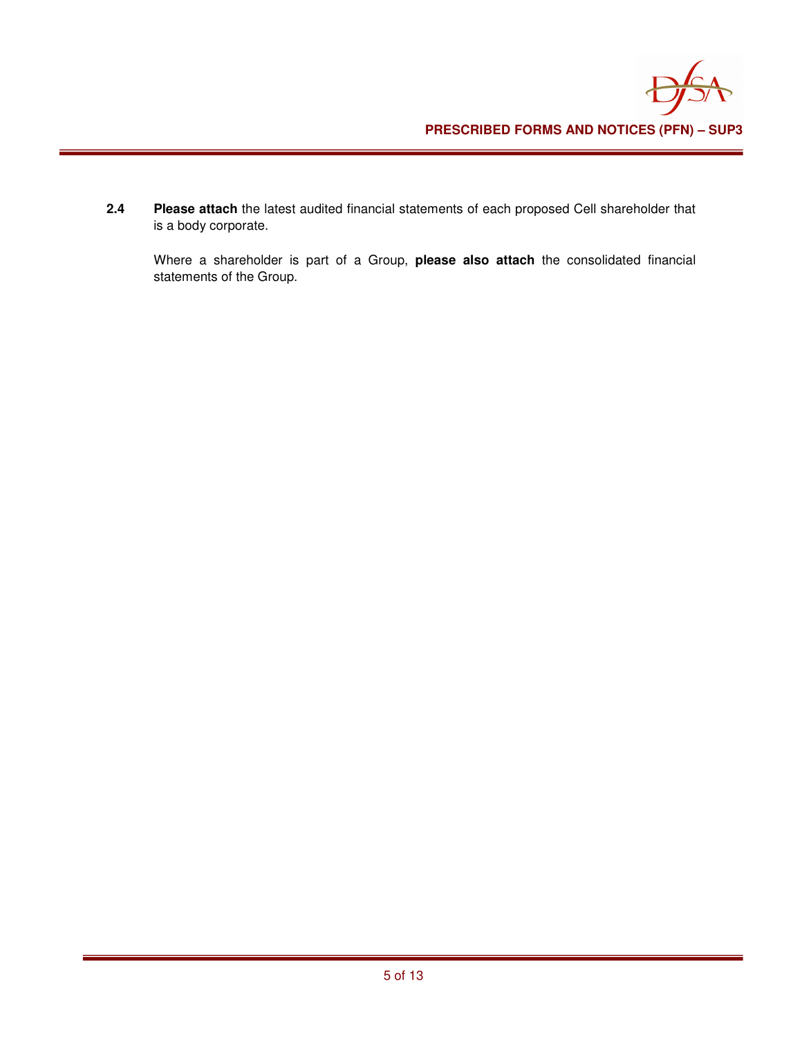**2.4 Please attach** the latest audited financial statements of each proposed Cell shareholder that is a body corporate.

Where a shareholder is part of a Group, **please also attach** the consolidated financial statements of the Group.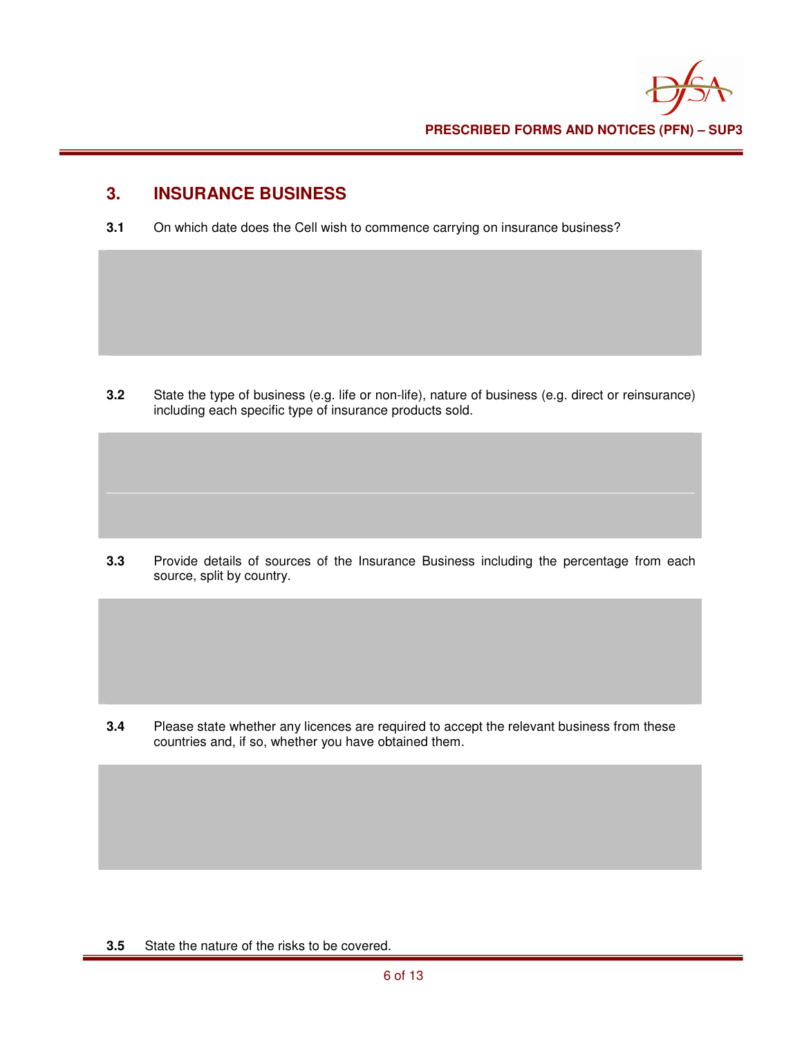#### **3. INSURANCE BUSINESS**

**3.1** On which date does the Cell wish to commence carrying on insurance business?

**3.2** State the type of business (e.g. life or non-life), nature of business (e.g. direct or reinsurance) including each specific type of insurance products sold.

**3.3** Provide details of sources of the Insurance Business including the percentage from each source, split by country.

**3.4** Please state whether any licences are required to accept the relevant business from these countries and, if so, whether you have obtained them.

**3.5** State the nature of the risks to be covered.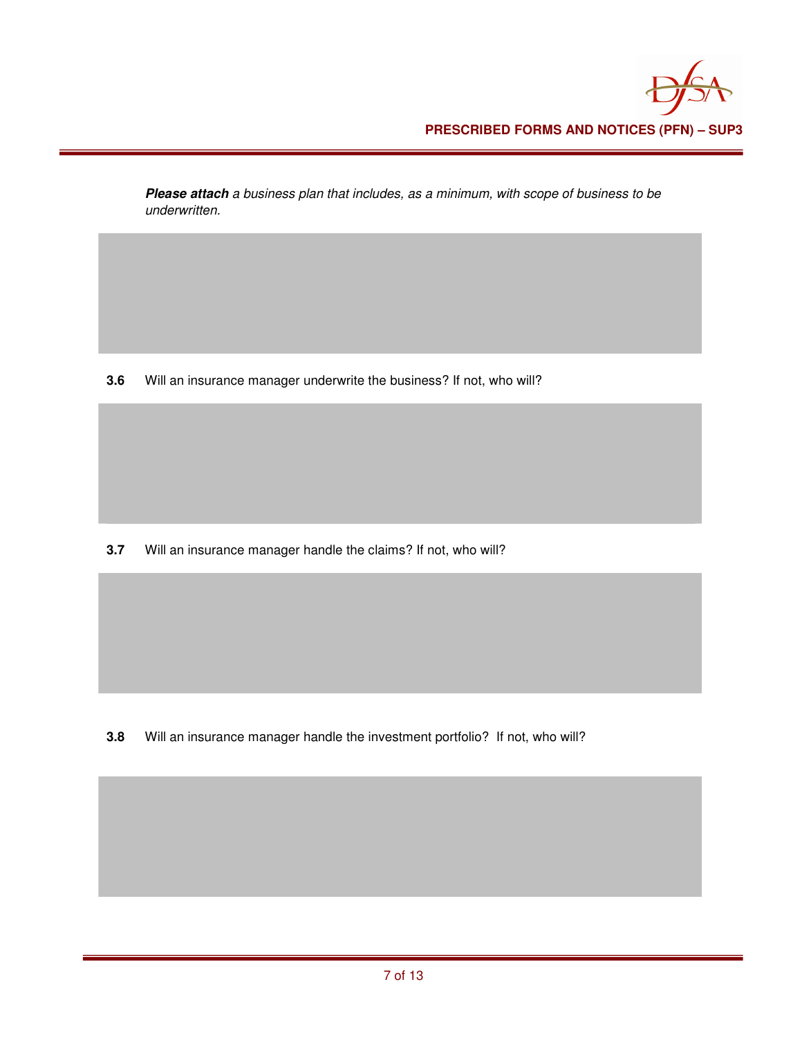**Please attach** a business plan that includes, as a minimum, with scope of business to be underwritten.

**3.6** Will an insurance manager underwrite the business? If not, who will?

**3.7** Will an insurance manager handle the claims? If not, who will?

**3.8** Will an insurance manager handle the investment portfolio? If not, who will?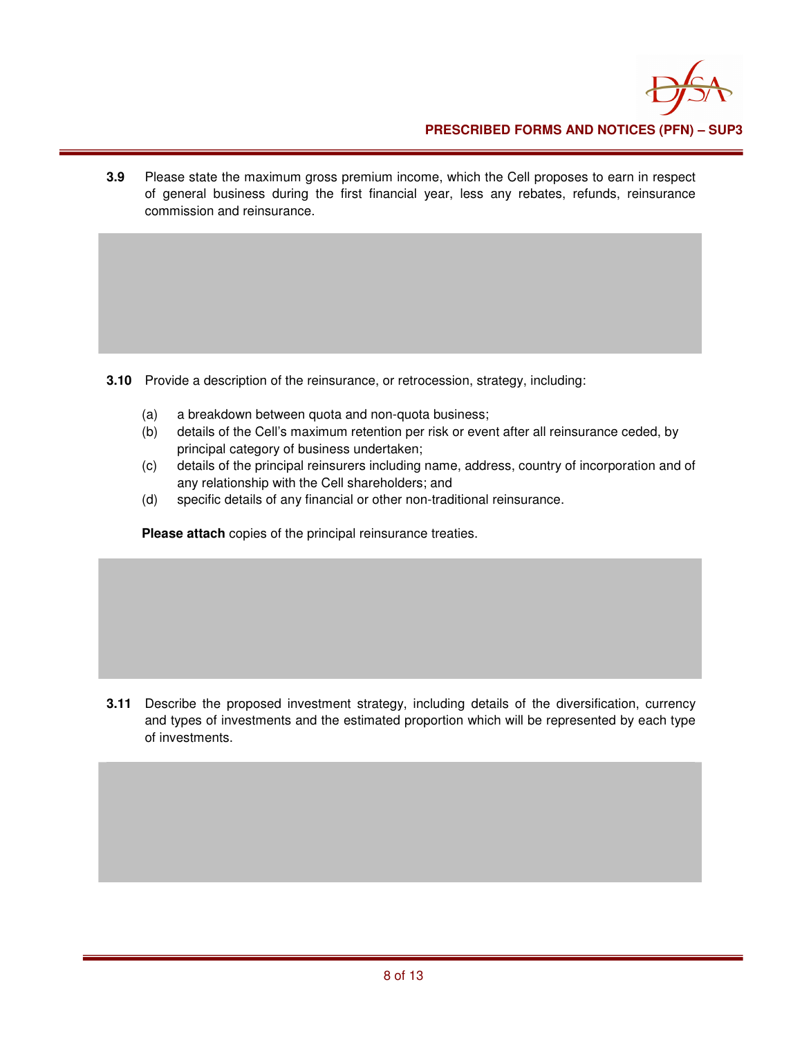

**3.9** Please state the maximum gross premium income, which the Cell proposes to earn in respect of general business during the first financial year, less any rebates, refunds, reinsurance commission and reinsurance.

**3.10** Provide a description of the reinsurance, or retrocession, strategy, including:

- (a) a breakdown between quota and non-quota business;
- (b) details of the Cell's maximum retention per risk or event after all reinsurance ceded, by principal category of business undertaken;
- (c) details of the principal reinsurers including name, address, country of incorporation and of any relationship with the Cell shareholders; and
- (d) specific details of any financial or other non-traditional reinsurance.

**Please attach** copies of the principal reinsurance treaties.

**3.11** Describe the proposed investment strategy, including details of the diversification, currency and types of investments and the estimated proportion which will be represented by each type of investments.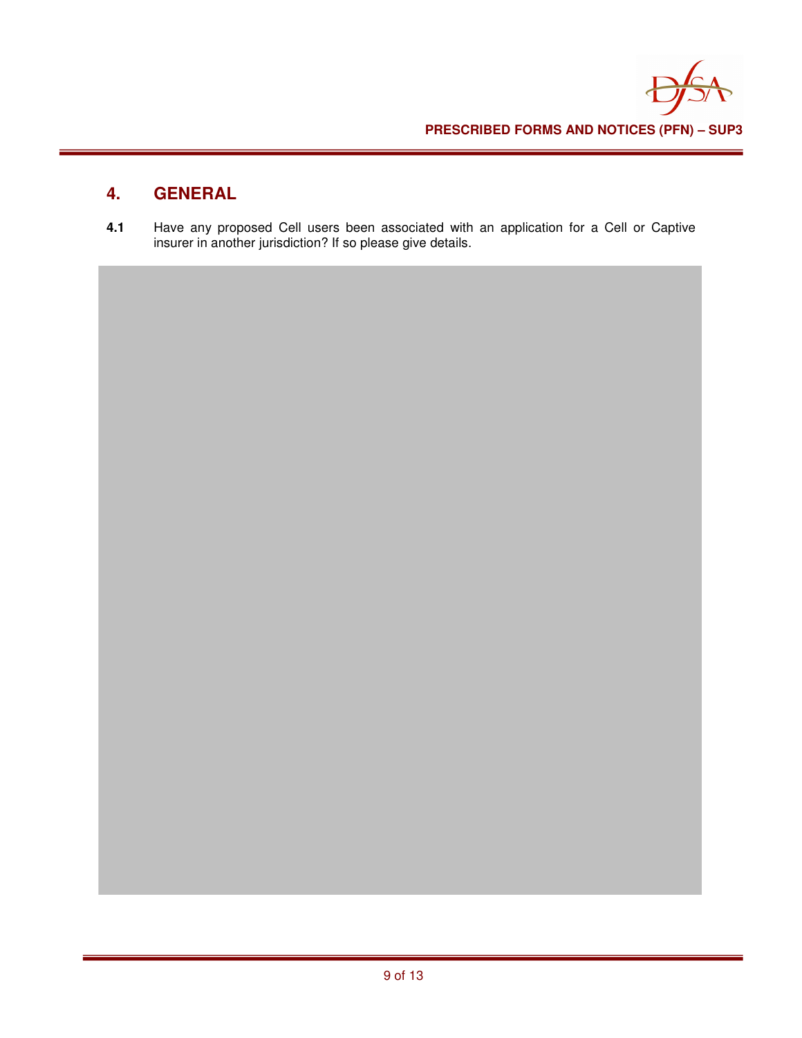

# **4. GENERAL**

**4.1** Have any proposed Cell users been associated with an application for a Cell or Captive insurer in another jurisdiction? If so please give details.

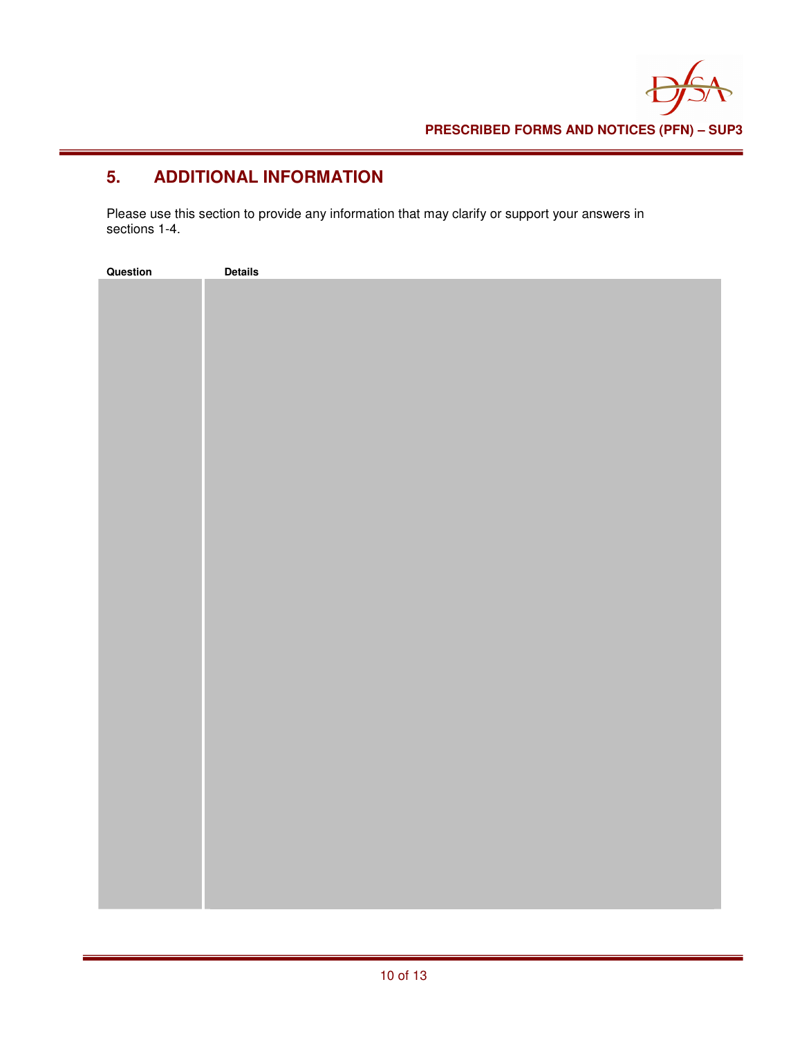# **5. ADDITIONAL INFORMATION**

Please use this section to provide any information that may clarify or support your answers in sections 1-4.

| Question | <b>Details</b> |
|----------|----------------|
|          |                |
|          |                |
|          |                |
|          |                |
|          |                |
|          |                |
|          |                |
|          |                |
|          |                |
|          |                |
|          |                |
|          |                |
|          |                |
|          |                |
|          |                |
|          |                |
|          |                |
|          |                |
|          |                |
|          |                |
|          |                |
|          |                |
|          |                |
|          |                |
|          |                |
|          |                |
|          |                |
|          |                |
|          |                |
|          |                |
|          |                |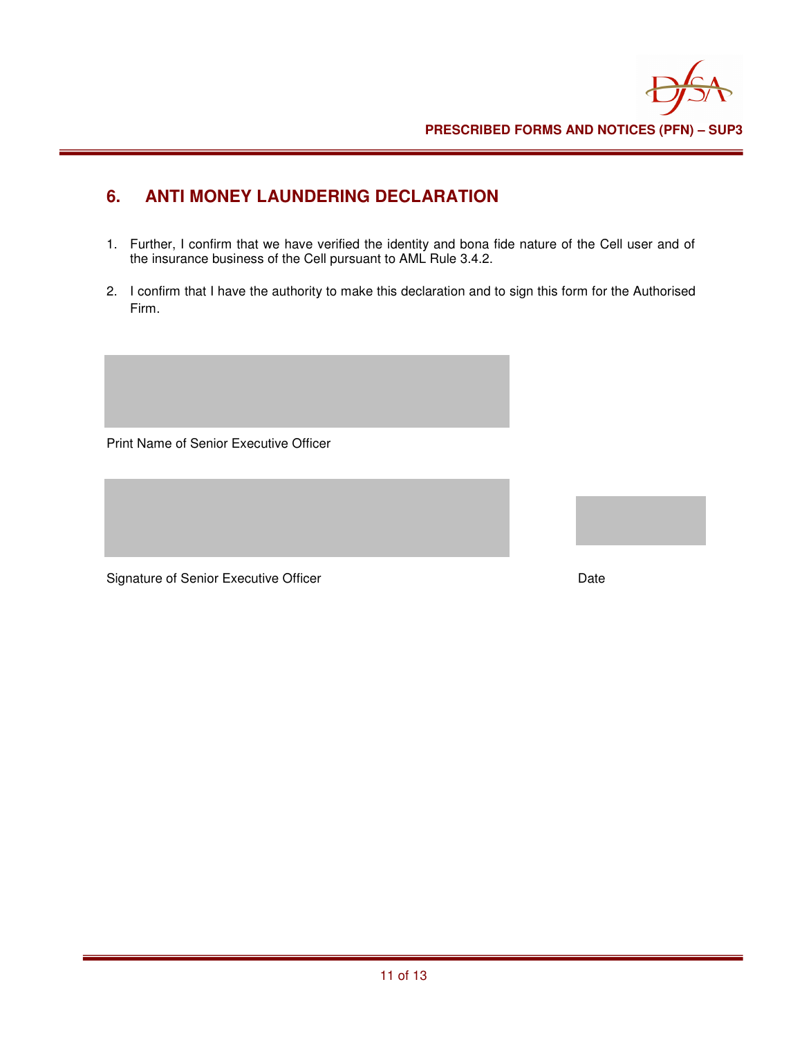# **6. ANTI MONEY LAUNDERING DECLARATION**

- 1. Further, I confirm that we have verified the identity and bona fide nature of the Cell user and of the insurance business of the Cell pursuant to AML Rule 3.4.2.
- 2. I confirm that I have the authority to make this declaration and to sign this form for the Authorised Firm.

Print Name of Senior Executive Officer

Signature of Senior Executive Officer **Date** Date

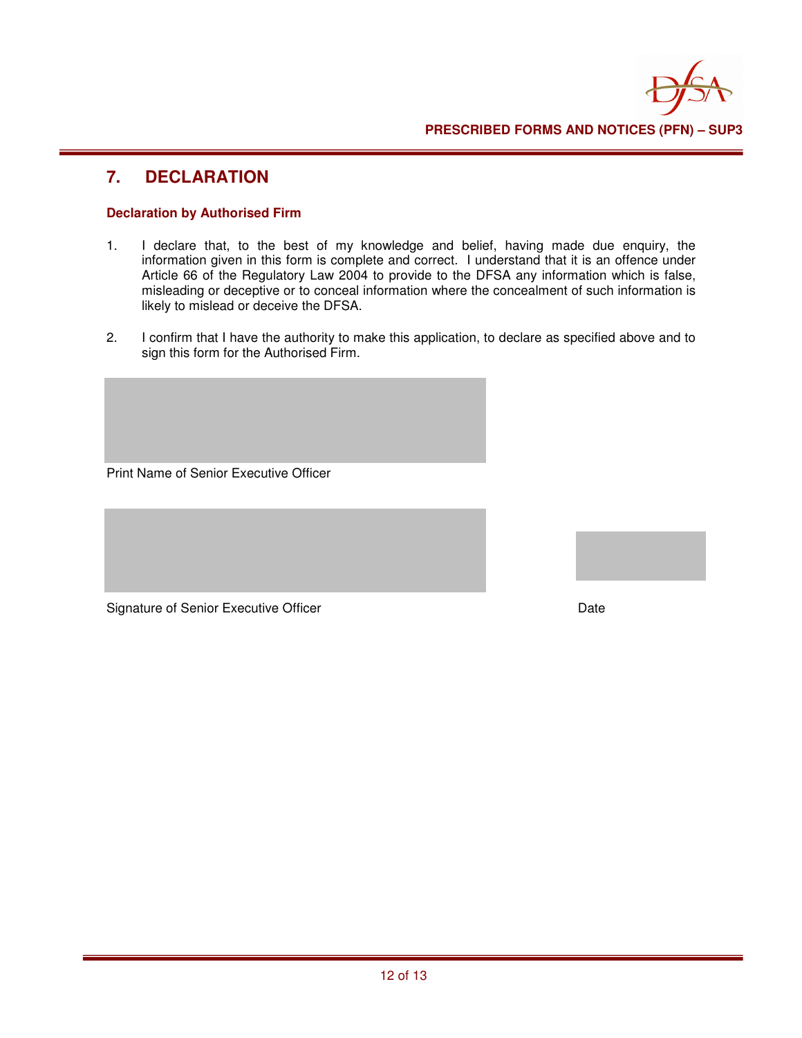

#### **7. DECLARATION**

#### **Declaration by Authorised Firm**

- 1. I declare that, to the best of my knowledge and belief, having made due enquiry, the information given in this form is complete and correct. I understand that it is an offence under Article 66 of the Regulatory Law 2004 to provide to the DFSA any information which is false, misleading or deceptive or to conceal information where the concealment of such information is likely to mislead or deceive the DFSA.
- 2. I confirm that I have the authority to make this application, to declare as specified above and to sign this form for the Authorised Firm.

Print Name of Senior Executive Officer

Signature of Senior Executive Officer **Date** Date Date